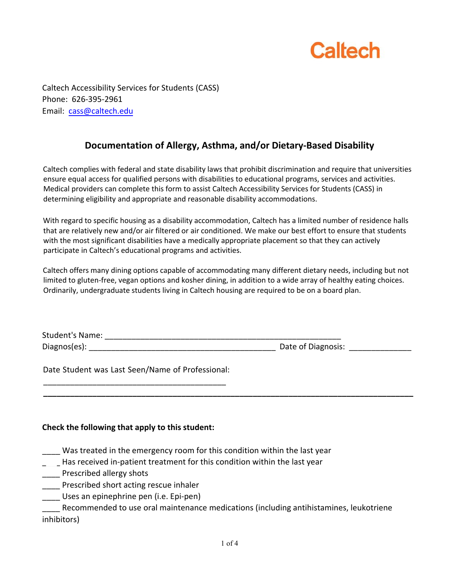

Caltech Accessibility Services for Students (CASS) Phone: 626-395-2961 Email: cass@caltech.edu

## **Documentation of Allergy, Asthma, and/or Dietary-Based Disability**

Caltech complies with federal and state disability laws that prohibit discrimination and require that universities ensure equal access for qualified persons with disabilities to educational programs, services and activities. Medical providers can complete this form to assist Caltech Accessibility Services for Students (CASS) in determining eligibility and appropriate and reasonable disability accommodations.

With regard to specific housing as a disability accommodation, Caltech has a limited number of residence halls that are relatively new and/or air filtered or air conditioned. We make our best effort to ensure that students with the most significant disabilities have a medically appropriate placement so that they can actively participate in Caltech's educational programs and activities.

Caltech offers many dining options capable of accommodating many different dietary needs, including but not limited to gluten-free, vegan options and kosher dining, in addition to a wide array of healthy eating choices. Ordinarily, undergraduate students living in Caltech housing are required to be on a board plan.

| <b>Student's Name:</b> |                    |
|------------------------|--------------------|
| Diagnos(es):           | Date of Diagnosis: |
|                        |                    |

**\_\_\_\_\_\_\_\_\_\_\_\_\_\_\_\_\_\_\_\_\_\_\_\_\_\_\_\_\_\_\_\_\_\_\_\_\_\_\_\_\_\_\_\_\_\_\_\_\_\_\_\_\_\_\_\_\_\_\_\_\_\_\_\_\_\_\_\_\_\_\_\_\_\_\_\_\_\_\_\_\_\_\_** 

Date Student was Last Seen/Name of Professional: \_\_\_\_\_\_\_\_\_\_\_\_\_\_\_\_\_\_\_\_\_\_\_\_\_\_\_\_\_\_\_\_\_\_\_\_\_\_\_\_\_

## **Check the following that apply to this student:**

- Was treated in the emergency room for this condition within the last year
- \_\_\_\_ Has received in-patient treatment for this condition within the last year
- Prescribed allergy shots
- \_\_\_\_ Prescribed short acting rescue inhaler
- \_\_\_\_ Uses an epinephrine pen (i.e. Epi-pen)

\_\_\_\_ Recommended to use oral maintenance medications (including antihistamines, leukotriene inhibitors)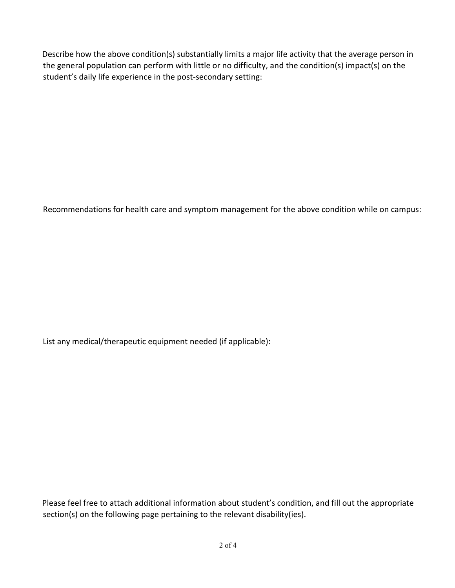Describe how the above condition(s) substantially limits a major life activity that the average person in the general population can perform with little or no difficulty, and the condition(s) impact(s) on the student's daily life experience in the post-secondary setting:

Recommendations for health care and symptom management for the above condition while on campus:

List any medical/therapeutic equipment needed (if applicable):

Please feel free to attach additional information about student's condition, and fill out the appropriate section(s) on the following page pertaining to the relevant disability(ies).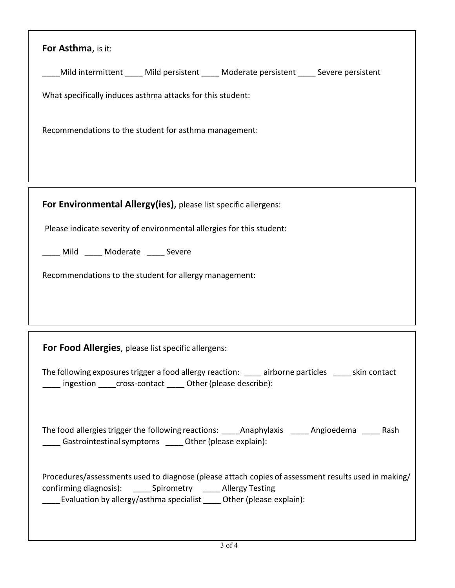| For Asthma, is it:                                                                                                                                                                                                                                  |  |  |
|-----------------------------------------------------------------------------------------------------------------------------------------------------------------------------------------------------------------------------------------------------|--|--|
| Mild intermittent _____ Mild persistent _____ Moderate persistent _____ Severe persistent                                                                                                                                                           |  |  |
| What specifically induces asthma attacks for this student:                                                                                                                                                                                          |  |  |
| Recommendations to the student for asthma management:                                                                                                                                                                                               |  |  |
| For Environmental Allergy(ies), please list specific allergens:                                                                                                                                                                                     |  |  |
| Please indicate severity of environmental allergies for this student:                                                                                                                                                                               |  |  |
| Mild ____ Moderate ____ Severe                                                                                                                                                                                                                      |  |  |
| Recommendations to the student for allergy management:                                                                                                                                                                                              |  |  |
|                                                                                                                                                                                                                                                     |  |  |
|                                                                                                                                                                                                                                                     |  |  |
| For Food Allergies, please list specific allergens:                                                                                                                                                                                                 |  |  |
| The following exposures trigger a food allergy reaction: ____ airborne particles ____ skin contact<br>____ ingestion ____cross-contact ____ Other (please describe):                                                                                |  |  |
| The food allergies trigger the following reactions: _______Anaphylaxis _______Angioedema ______ Rash<br>____ Gastrointestinal symptoms _____ Other (please explain):                                                                                |  |  |
| Procedures/assessments used to diagnose (please attach copies of assessment results used in making/<br>confirming diagnosis): ______ Spirometry ______ Allergy Testing<br>____ Evaluation by allergy/asthma specialist ____ Other (please explain): |  |  |